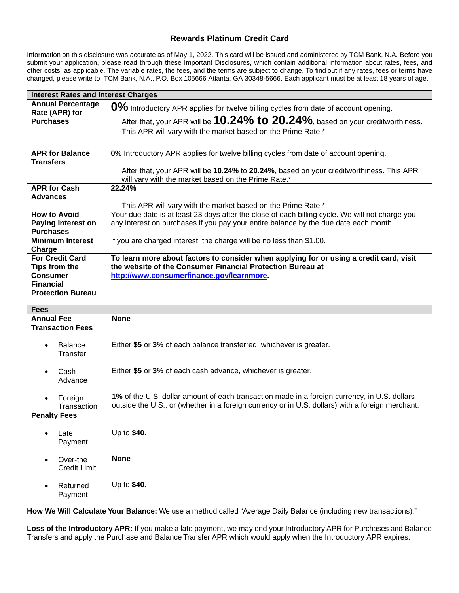# **Rewards Platinum Credit Card**

Information on this disclosure was accurate as of May 1, 2022. This card will be issued and administered by TCM Bank, N.A. Before you submit your application, please read through these Important Disclosures, which contain additional information about rates, fees, and other costs, as applicable. The variable rates, the fees, and the terms are subject to change. To find out if any rates, fees or terms have changed, please write to: TCM Bank, N.A., P.O. Box 105666 Atlanta, GA 30348-5666. Each applicant must be at least 18 years of age.

| <b>Interest Rates and Interest Charges</b>                                                                 |                                                                                                                                                                                                                                              |
|------------------------------------------------------------------------------------------------------------|----------------------------------------------------------------------------------------------------------------------------------------------------------------------------------------------------------------------------------------------|
| <b>Annual Percentage</b><br>Rate (APR) for<br><b>Purchases</b>                                             | 0% Introductory APR applies for twelve billing cycles from date of account opening.<br>After that, your APR will be $10.24\%$ to $20.24\%$ , based on your creditworthiness.<br>This APR will vary with the market based on the Prime Rate.* |
| <b>APR for Balance</b><br><b>Transfers</b>                                                                 | 0% Introductory APR applies for twelve billing cycles from date of account opening.<br>After that, your APR will be 10.24% to 20.24%, based on your creditworthiness. This APR                                                               |
|                                                                                                            | will vary with the market based on the Prime Rate.*                                                                                                                                                                                          |
| <b>APR for Cash</b><br><b>Advances</b>                                                                     | 22.24%<br>This APR will vary with the market based on the Prime Rate.*                                                                                                                                                                       |
| <b>How to Avoid</b><br><b>Paying Interest on</b><br><b>Purchases</b>                                       | Your due date is at least 23 days after the close of each billing cycle. We will not charge you<br>any interest on purchases if you pay your entire balance by the due date each month.                                                      |
| <b>Minimum Interest</b><br>Charge                                                                          | If you are charged interest, the charge will be no less than \$1.00.                                                                                                                                                                         |
| <b>For Credit Card</b><br>Tips from the<br><b>Consumer</b><br><b>Financial</b><br><b>Protection Bureau</b> | To learn more about factors to consider when applying for or using a credit card, visit<br>the website of the Consumer Financial Protection Bureau at<br>http://www.consumerfinance.gov/learnmore.                                           |

| <b>Fees</b>                             |                                                                                                                                                                                                  |
|-----------------------------------------|--------------------------------------------------------------------------------------------------------------------------------------------------------------------------------------------------|
| <b>Annual Fee</b>                       | <b>None</b>                                                                                                                                                                                      |
| <b>Transaction Fees</b>                 |                                                                                                                                                                                                  |
| <b>Balance</b><br>$\bullet$<br>Transfer | Either \$5 or 3% of each balance transferred, whichever is greater.                                                                                                                              |
| Cash<br>$\bullet$<br>Advance            | Either \$5 or 3% of each cash advance, whichever is greater.                                                                                                                                     |
| Foreign<br>$\bullet$<br>Transaction     | 1% of the U.S. dollar amount of each transaction made in a foreign currency, in U.S. dollars<br>outside the U.S., or (whether in a foreign currency or in U.S. dollars) with a foreign merchant. |
| <b>Penalty Fees</b>                     |                                                                                                                                                                                                  |
| Late<br>$\bullet$<br>Payment            | Up to \$40.                                                                                                                                                                                      |
| Over-the<br><b>Credit Limit</b>         | <b>None</b>                                                                                                                                                                                      |
| Returned<br>Payment                     | Up to \$40.                                                                                                                                                                                      |

**How We Will Calculate Your Balance:** We use a method called "Average Daily Balance (including new transactions)."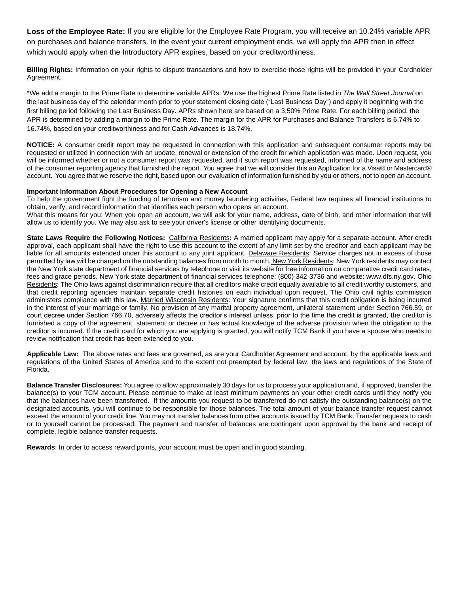**Loss of the Employee Rate:** If you are eligible for the Employee Rate Program, you will receive an 10.24% variable APR on purchases and balance transfers. In the event your current employment ends, we will apply the APR then in effect which would apply when the Introductory APR expires, based on your creditworthiness.

**Billing Rights:** Information on your rights to dispute transactions and how to exercise those rights will be provided in your Cardholder Agreement.

\*We add a margin to the Prime Rate to determine variable APRs. We use the highest Prime Rate listed in *The Wall Street Journal* on the last business day of the calendar month prior to your statement closing date ("Last Business Day") and apply it beginning with the first billing period following the Last Business Day. APRs shown here are based on a 3.50% Prime Rate. For each billing period, the APR is determined by adding a margin to the Prime Rate. The margin for the APR for Purchases and Balance Transfers is 6.74% to 16.74%, based on your creditworthiness and for Cash Advances is 18.74%.

**NOTICE:** A consumer credit report may be requested in connection with this application and subsequent consumer reports may be requested or utilized in connection with an update, renewal or extension of the credit for which application was made. Upon request, you will be informed whether or not a consumer report was requested, and if such report was requested, informed of the name and address of the consumer reporting agency that furnished the report. You agree that we will consider this an Application for a Visa® or Mastercard® account. You agree that we reserve the right, based upon our evaluation of information furnished by you or others, not to open an account.

#### **Important Information About Procedures for Opening a New Account**

To help the government fight the funding of terrorism and money laundering activities, Federal law requires all financial institutions to obtain, verify, and record information that identifies each person who opens an account.

What this means for you: When you open an account, we will ask for your name, address, date of birth, and other information that will allow us to identify you. We may also ask to see your driver's license or other identifying documents.

**State Laws Require the Following Notices:** California Residents**:** A married applicant may apply for a separate account. After credit approval, each applicant shall have the right to use this account to the extent of any limit set by the creditor and each applicant may be liable for all amounts extended under this account to any joint applicant. Delaware Residents: Service charges not in excess of those permitted by law will be charged on the outstanding balances from month to month. New York Residents: New York residents may contact the New York state department of financial services by telephone or visit its website for free information on comparative credit card rates, fees and grace periods. New York state department of financial services telephone: (800) 342-3736 and website: [www.dfs.ny.gov.](http://www.dfs.ny.gov/) Ohio Residents: The Ohio laws against discrimination require that all creditors make credit equally available to all credit worthy customers, and that credit reporting agencies maintain separate credit histories on each individual upon request. The Ohio civil rights commission administers compliance with this law. Married Wisconsin Residents: Your signature confirms that this credit obligation is being incurred in the interest of your marriage or family. No provision of any marital property agreement, unilateral statement under Section 766.59, or court decree under Section 766.70, adversely affects the creditor's interest unless, prior to the time the credit is granted, the creditor is furnished a copy of the agreement, statement or decree or has actual knowledge of the adverse provision when the obligation to the creditor is incurred. If the credit card for which you are applying is granted, you will notify TCM Bank if you have a spouse who needs to review notification that credit has been extended to you.

**Applicable Law:** The above rates and fees are governed, as are your Cardholder Agreement and account, by the applicable laws and regulations of the United States of America and to the extent not preempted by federal law, the laws and regulations of the State of Florida.

**Balance Transfer Disclosures:** You agree to allow approximately 30 days for us to process your application and, if approved, transfer the balance(s) to your TCM account. Please continue to make at least minimum payments on your other credit cards until they notify you that the balances have been transferred. If the amounts you request to be transferred do not satisfy the outstanding balance(s) on the designated accounts, you will continue to be responsible for those balances. The total amount of your balance transfer request cannot exceed the amount of your credit line. You may not transfer balances from other accounts issued by TCM Bank. Transfer requests to cash or to yourself cannot be processed. The payment and transfer of balances are contingent upon approval by the bank and receipt of complete, legible balance transfer requests.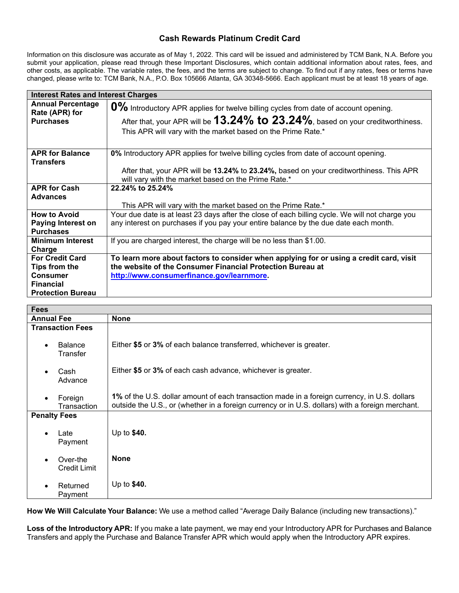## **Cash Rewards Platinum Credit Card**

Information on this disclosure was accurate as of May 1, 2022. This card will be issued and administered by TCM Bank, N.A. Before you submit your application, please read through these Important Disclosures, which contain additional information about rates, fees, and other costs, as applicable. The variable rates, the fees, and the terms are subject to change. To find out if any rates, fees or terms have changed, please write to: TCM Bank, N.A., P.O. Box 105666 Atlanta, GA 30348-5666. Each applicant must be at least 18 years of age.

| <b>Interest Rates and Interest Charges</b>                     |                                                                                                                                                                                                                                              |
|----------------------------------------------------------------|----------------------------------------------------------------------------------------------------------------------------------------------------------------------------------------------------------------------------------------------|
| <b>Annual Percentage</b><br>Rate (APR) for<br><b>Purchases</b> | 0% Introductory APR applies for twelve billing cycles from date of account opening.<br>After that, your APR will be $13.24\%$ to $23.24\%$ , based on your creditworthiness.<br>This APR will vary with the market based on the Prime Rate.* |
| <b>APR for Balance</b><br><b>Transfers</b>                     | 0% Introductory APR applies for twelve billing cycles from date of account opening.                                                                                                                                                          |
|                                                                | After that, your APR will be 13.24% to 23.24%, based on your creditworthiness. This APR<br>will vary with the market based on the Prime Rate.*                                                                                               |
| <b>APR for Cash</b>                                            | 22.24% to 25.24%                                                                                                                                                                                                                             |
| <b>Advances</b>                                                | This APR will vary with the market based on the Prime Rate.*                                                                                                                                                                                 |
| <b>How to Avoid</b><br><b>Paying Interest on</b>               | Your due date is at least 23 days after the close of each billing cycle. We will not charge you<br>any interest on purchases if you pay your entire balance by the due date each month.                                                      |
| <b>Purchases</b>                                               |                                                                                                                                                                                                                                              |
| <b>Minimum Interest</b><br>Charge                              | If you are charged interest, the charge will be no less than \$1.00.                                                                                                                                                                         |
| <b>For Credit Card</b>                                         | To learn more about factors to consider when applying for or using a credit card, visit                                                                                                                                                      |
| Tips from the                                                  | the website of the Consumer Financial Protection Bureau at                                                                                                                                                                                   |
| <b>Consumer</b>                                                | http://www.consumerfinance.gov/learnmore.                                                                                                                                                                                                    |
| <b>Financial</b>                                               |                                                                                                                                                                                                                                              |
| <b>Protection Bureau</b>                                       |                                                                                                                                                                                                                                              |

| <b>Fees</b>                             |                                                                                                                                                                                                  |
|-----------------------------------------|--------------------------------------------------------------------------------------------------------------------------------------------------------------------------------------------------|
| <b>Annual Fee</b>                       | <b>None</b>                                                                                                                                                                                      |
| <b>Transaction Fees</b>                 |                                                                                                                                                                                                  |
| <b>Balance</b><br>$\bullet$<br>Transfer | Either \$5 or 3% of each balance transferred, whichever is greater.                                                                                                                              |
| Cash<br>$\bullet$<br>Advance            | Either \$5 or 3% of each cash advance, whichever is greater.                                                                                                                                     |
| Foreign<br>$\bullet$<br>Transaction     | 1% of the U.S. dollar amount of each transaction made in a foreign currency, in U.S. dollars<br>outside the U.S., or (whether in a foreign currency or in U.S. dollars) with a foreign merchant. |
| <b>Penalty Fees</b>                     |                                                                                                                                                                                                  |
| Late<br>$\bullet$<br>Payment            | Up to \$40.                                                                                                                                                                                      |
| Over-the<br><b>Credit Limit</b>         | <b>None</b>                                                                                                                                                                                      |
| Returned<br>$\bullet$<br>Payment        | Up to \$40.                                                                                                                                                                                      |

**How We Will Calculate Your Balance:** We use a method called "Average Daily Balance (including new transactions)."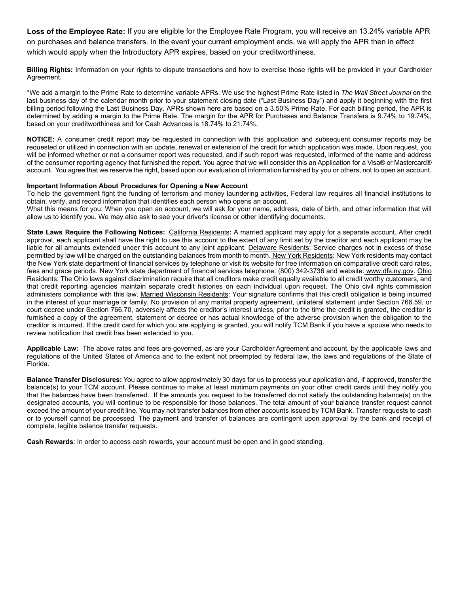**Loss of the Employee Rate:** If you are eligible for the Employee Rate Program, you will receive an 13.24% variable APR on purchases and balance transfers. In the event your current employment ends, we will apply the APR then in effect which would apply when the Introductory APR expires, based on your creditworthiness.

**Billing Rights:** Information on your rights to dispute transactions and how to exercise those rights will be provided in your Cardholder Agreement.

\*We add a margin to the Prime Rate to determine variable APRs. We use the highest Prime Rate listed in *The Wall Street Journal* on the last business day of the calendar month prior to your statement closing date ("Last Business Day") and apply it beginning with the first billing period following the Last Business Day. APRs shown here are based on a 3.50% Prime Rate. For each billing period, the APR is determined by adding a margin to the Prime Rate. The margin for the APR for Purchases and Balance Transfers is 9.74% to 19.74%, based on your creditworthiness and for Cash Advances is 18.74% to 21.74%.

**NOTICE:** A consumer credit report may be requested in connection with this application and subsequent consumer reports may be requested or utilized in connection with an update, renewal or extension of the credit for which application was made. Upon request, you will be informed whether or not a consumer report was requested, and if such report was requested, informed of the name and address of the consumer reporting agency that furnished the report. You agree that we will consider this an Application for a Visa® or Mastercard® account. You agree that we reserve the right, based upon our evaluation of information furnished by you or others, not to open an account.

### **Important Information About Procedures for Opening a New Account**

To help the government fight the funding of terrorism and money laundering activities, Federal law requires all financial institutions to obtain, verify, and record information that identifies each person who opens an account.

What this means for you: When you open an account, we will ask for your name, address, date of birth, and other information that will allow us to identify you. We may also ask to see your driver's license or other identifying documents.

**State Laws Require the Following Notices:** California Residents**:** A married applicant may apply for a separate account. After credit approval, each applicant shall have the right to use this account to the extent of any limit set by the creditor and each applicant may be liable for all amounts extended under this account to any joint applicant. Delaware Residents: Service charges not in excess of those permitted by law will be charged on the outstanding balances from month to month. New York Residents: New York residents may contact the New York state department of financial services by telephone or visit its website for free information on comparative credit card rates, fees and grace periods. New York state department of financial services telephone: (800) 342-3736 and website: [www.dfs.ny.gov.](http://www.dfs.ny.gov/) Ohio Residents: The Ohio laws against discrimination require that all creditors make credit equally available to all credit worthy customers, and that credit reporting agencies maintain separate credit histories on each individual upon request. The Ohio civil rights commission administers compliance with this law. Married Wisconsin Residents: Your signature confirms that this credit obligation is being incurred in the interest of your marriage or family. No provision of any marital property agreement, unilateral statement under Section 766.59, or court decree under Section 766.70, adversely affects the creditor's interest unless, prior to the time the credit is granted, the creditor is furnished a copy of the agreement, statement or decree or has actual knowledge of the adverse provision when the obligation to the creditor is incurred. If the credit card for which you are applying is granted, you will notify TCM Bank if you have a spouse who needs to review notification that credit has been extended to you.

**Applicable Law:** The above rates and fees are governed, as are your Cardholder Agreement and account, by the applicable laws and regulations of the United States of America and to the extent not preempted by federal law, the laws and regulations of the State of Florida.

**Balance Transfer Disclosures:** You agree to allow approximately 30 days for us to process your application and, if approved, transfer the balance(s) to your TCM account. Please continue to make at least minimum payments on your other credit cards until they notify you that the balances have been transferred. If the amounts you request to be transferred do not satisfy the outstanding balance(s) on the designated accounts, you will continue to be responsible for those balances. The total amount of your balance transfer request cannot exceed the amount of your credit line. You may not transfer balances from other accounts issued by TCM Bank. Transfer requests to cash or to yourself cannot be processed. The payment and transfer of balances are contingent upon approval by the bank and receipt of complete, legible balance transfer requests.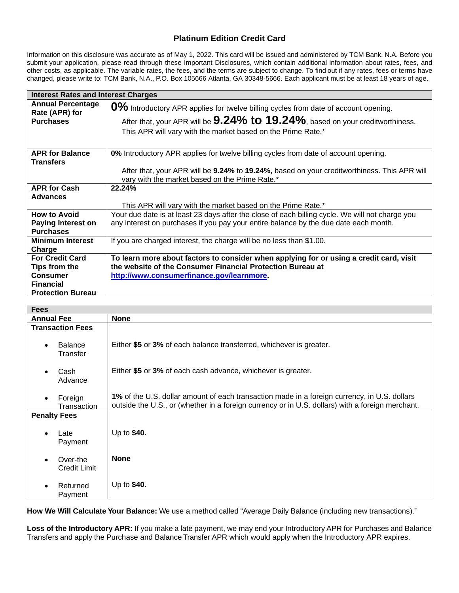# **Platinum Edition Credit Card**

Information on this disclosure was accurate as of May 1, 2022. This card will be issued and administered by TCM Bank, N.A. Before you submit your application, please read through these Important Disclosures, which contain additional information about rates, fees, and other costs, as applicable. The variable rates, the fees, and the terms are subject to change. To find out if any rates, fees or terms have changed, please write to: TCM Bank, N.A., P.O. Box 105666 Atlanta, GA 30348-5666. Each applicant must be at least 18 years of age.

| <b>Interest Rates and Interest Charges</b>                                                                 |                                                                                                                                                                                                                                             |
|------------------------------------------------------------------------------------------------------------|---------------------------------------------------------------------------------------------------------------------------------------------------------------------------------------------------------------------------------------------|
| <b>Annual Percentage</b><br>Rate (APR) for<br><b>Purchases</b>                                             | 0% Introductory APR applies for twelve billing cycles from date of account opening.<br>After that, your APR will be $9.24\%$ to $19.24\%$ , based on your creditworthiness.<br>This APR will vary with the market based on the Prime Rate.* |
| <b>APR for Balance</b><br><b>Transfers</b>                                                                 | 0% Introductory APR applies for twelve billing cycles from date of account opening.                                                                                                                                                         |
|                                                                                                            | After that, your APR will be 9.24% to 19.24%, based on your creditworthiness. This APR will<br>vary with the market based on the Prime Rate.*                                                                                               |
| <b>APR for Cash</b>                                                                                        | 22.24%                                                                                                                                                                                                                                      |
| <b>Advances</b>                                                                                            | This APR will vary with the market based on the Prime Rate.*                                                                                                                                                                                |
| <b>How to Avoid</b><br><b>Paying Interest on</b><br><b>Purchases</b>                                       | Your due date is at least 23 days after the close of each billing cycle. We will not charge you<br>any interest on purchases if you pay your entire balance by the due date each month.                                                     |
| <b>Minimum Interest</b><br>Charge                                                                          | If you are charged interest, the charge will be no less than \$1.00.                                                                                                                                                                        |
| <b>For Credit Card</b><br>Tips from the<br><b>Consumer</b><br><b>Financial</b><br><b>Protection Bureau</b> | To learn more about factors to consider when applying for or using a credit card, visit<br>the website of the Consumer Financial Protection Bureau at<br>http://www.consumerfinance.gov/learnmore.                                          |

| <b>Fees</b>                             |                                                                                                                                                                                                  |
|-----------------------------------------|--------------------------------------------------------------------------------------------------------------------------------------------------------------------------------------------------|
| <b>Annual Fee</b>                       | <b>None</b>                                                                                                                                                                                      |
| <b>Transaction Fees</b>                 |                                                                                                                                                                                                  |
| <b>Balance</b><br>$\bullet$<br>Transfer | Either \$5 or 3% of each balance transferred, whichever is greater.                                                                                                                              |
| Cash<br>$\bullet$<br>Advance            | Either \$5 or 3% of each cash advance, whichever is greater.                                                                                                                                     |
| Foreign<br>$\bullet$<br>Transaction     | 1% of the U.S. dollar amount of each transaction made in a foreign currency, in U.S. dollars<br>outside the U.S., or (whether in a foreign currency or in U.S. dollars) with a foreign merchant. |
| <b>Penalty Fees</b>                     |                                                                                                                                                                                                  |
| Late<br>$\bullet$<br>Payment            | Up to \$40.                                                                                                                                                                                      |
| Over-the<br><b>Credit Limit</b>         | <b>None</b>                                                                                                                                                                                      |
| Returned<br>Payment                     | Up to \$40.                                                                                                                                                                                      |

**How We Will Calculate Your Balance:** We use a method called "Average Daily Balance (including new transactions)."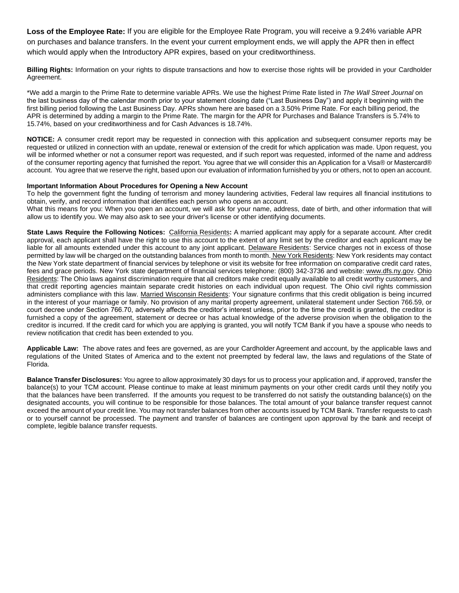**Loss of the Employee Rate:** If you are eligible for the Employee Rate Program, you will receive a 9.24% variable APR on purchases and balance transfers. In the event your current employment ends, we will apply the APR then in effect which would apply when the Introductory APR expires, based on your creditworthiness.

**Billing Rights:** Information on your rights to dispute transactions and how to exercise those rights will be provided in your Cardholder Agreement.

\*We add a margin to the Prime Rate to determine variable APRs. We use the highest Prime Rate listed in *The Wall Street Journal* on the last business day of the calendar month prior to your statement closing date ("Last Business Day") and apply it beginning with the first billing period following the Last Business Day. APRs shown here are based on a 3.50% Prime Rate. For each billing period, the APR is determined by adding a margin to the Prime Rate. The margin for the APR for Purchases and Balance Transfers is 5.74% to 15.74%, based on your creditworthiness and for Cash Advances is 18.74%.

**NOTICE:** A consumer credit report may be requested in connection with this application and subsequent consumer reports may be requested or utilized in connection with an update, renewal or extension of the credit for which application was made. Upon request, you will be informed whether or not a consumer report was requested, and if such report was requested, informed of the name and address of the consumer reporting agency that furnished the report. You agree that we will consider this an Application for a Visa® or Mastercard® account. You agree that we reserve the right, based upon our evaluation of information furnished by you or others, not to open an account.

### **Important Information About Procedures for Opening a New Account**

To help the government fight the funding of terrorism and money laundering activities, Federal law requires all financial institutions to obtain, verify, and record information that identifies each person who opens an account.

What this means for you: When you open an account, we will ask for your name, address, date of birth, and other information that will allow us to identify you. We may also ask to see your driver's license or other identifying documents.

**State Laws Require the Following Notices:** California Residents**:** A married applicant may apply for a separate account. After credit approval, each applicant shall have the right to use this account to the extent of any limit set by the creditor and each applicant may be liable for all amounts extended under this account to any joint applicant. Delaware Residents: Service charges not in excess of those permitted by law will be charged on the outstanding balances from month to month. New York Residents: New York residents may contact the New York state department of financial services by telephone or visit its website for free information on comparative credit card rates, fees and grace periods. New York state department of financial services telephone: (800) 342-3736 and website: [www.dfs.ny.gov.](http://www.dfs.ny.gov/) Ohio Residents: The Ohio laws against discrimination require that all creditors make credit equally available to all credit worthy customers, and that credit reporting agencies maintain separate credit histories on each individual upon request. The Ohio civil rights commission administers compliance with this law. Married Wisconsin Residents: Your signature confirms that this credit obligation is being incurred in the interest of your marriage or family. No provision of any marital property agreement, unilateral statement under Section 766.59, or court decree under Section 766.70, adversely affects the creditor's interest unless, prior to the time the credit is granted, the creditor is furnished a copy of the agreement, statement or decree or has actual knowledge of the adverse provision when the obligation to the creditor is incurred. If the credit card for which you are applying is granted, you will notify TCM Bank if you have a spouse who needs to review notification that credit has been extended to you.

**Applicable Law:** The above rates and fees are governed, as are your Cardholder Agreement and account, by the applicable laws and regulations of the United States of America and to the extent not preempted by federal law, the laws and regulations of the State of Florida.

**Balance Transfer Disclosures:** You agree to allow approximately 30 days for us to process your application and, if approved, transfer the balance(s) to your TCM account. Please continue to make at least minimum payments on your other credit cards until they notify you that the balances have been transferred. If the amounts you request to be transferred do not satisfy the outstanding balance(s) on the designated accounts, you will continue to be responsible for those balances. The total amount of your balance transfer request cannot exceed the amount of your credit line. You may not transfer balances from other accounts issued by TCM Bank. Transfer requests to cash or to yourself cannot be processed. The payment and transfer of balances are contingent upon approval by the bank and receipt of complete, legible balance transfer requests.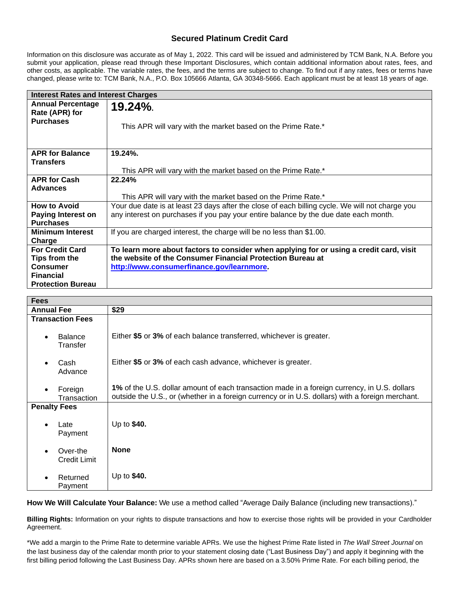## **Secured Platinum Credit Card**

Information on this disclosure was accurate as of May 1, 2022. This card will be issued and administered by TCM Bank, N.A. Before you submit your application, please read through these Important Disclosures, which contain additional information about rates, fees, and other costs, as applicable. The variable rates, the fees, and the terms are subject to change. To find out if any rates, fees or terms have changed, please write to: TCM Bank, N.A., P.O. Box 105666 Atlanta, GA 30348-5666. Each applicant must be at least 18 years of age.

| <b>Interest Rates and Interest Charges</b> |                                                                                                 |
|--------------------------------------------|-------------------------------------------------------------------------------------------------|
| <b>Annual Percentage</b><br>Rate (APR) for | $19.24\%$                                                                                       |
| <b>Purchases</b>                           | This APR will vary with the market based on the Prime Rate.*                                    |
| <b>APR for Balance</b>                     | 19.24%.                                                                                         |
| <b>Transfers</b>                           |                                                                                                 |
|                                            | This APR will vary with the market based on the Prime Rate.*                                    |
| <b>APR for Cash</b>                        | 22.24%                                                                                          |
| <b>Advances</b>                            |                                                                                                 |
|                                            | This APR will vary with the market based on the Prime Rate.*                                    |
| <b>How to Avoid</b>                        | Your due date is at least 23 days after the close of each billing cycle. We will not charge you |
| <b>Paying Interest on</b>                  | any interest on purchases if you pay your entire balance by the due date each month.            |
| <b>Purchases</b>                           |                                                                                                 |
| <b>Minimum Interest</b>                    | If you are charged interest, the charge will be no less than \$1.00.                            |
| Charge                                     |                                                                                                 |
| <b>For Credit Card</b>                     | To learn more about factors to consider when applying for or using a credit card, visit         |
| Tips from the                              | the website of the Consumer Financial Protection Bureau at                                      |
| <b>Consumer</b>                            | http://www.consumerfinance.gov/learnmore.                                                       |
| <b>Financial</b>                           |                                                                                                 |
| <b>Protection Bureau</b>                   |                                                                                                 |

| <b>Fees</b>                             |                                                                                                                                                                                                  |
|-----------------------------------------|--------------------------------------------------------------------------------------------------------------------------------------------------------------------------------------------------|
| <b>Annual Fee</b>                       | \$29                                                                                                                                                                                             |
| <b>Transaction Fees</b>                 |                                                                                                                                                                                                  |
| <b>Balance</b><br>$\bullet$<br>Transfer | Either \$5 or 3% of each balance transferred, whichever is greater.                                                                                                                              |
| Cash<br>$\bullet$<br>Advance            | Either \$5 or 3% of each cash advance, whichever is greater.                                                                                                                                     |
| Foreign<br>$\bullet$<br>Transaction     | 1% of the U.S. dollar amount of each transaction made in a foreign currency, in U.S. dollars<br>outside the U.S., or (whether in a foreign currency or in U.S. dollars) with a foreign merchant. |
| <b>Penalty Fees</b>                     |                                                                                                                                                                                                  |
| Late<br>$\bullet$<br>Payment            | Up to \$40.                                                                                                                                                                                      |
| Over-the<br>Credit Limit                | <b>None</b>                                                                                                                                                                                      |
| Returned<br>Payment                     | Up to \$40.                                                                                                                                                                                      |

**How We Will Calculate Your Balance:** We use a method called "Average Daily Balance (including new transactions)."

**Billing Rights:** Information on your rights to dispute transactions and how to exercise those rights will be provided in your Cardholder Agreement.

\*We add a margin to the Prime Rate to determine variable APRs. We use the highest Prime Rate listed in *The Wall Street Journal* on the last business day of the calendar month prior to your statement closing date ("Last Business Day") and apply it beginning with the first billing period following the Last Business Day. APRs shown here are based on a 3.50% Prime Rate. For each billing period, the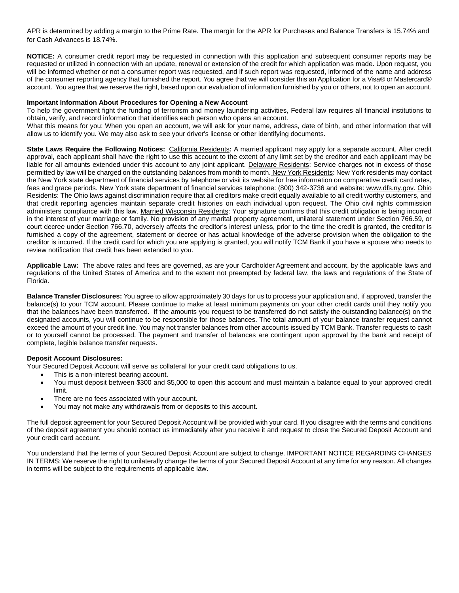APR is determined by adding a margin to the Prime Rate. The margin for the APR for Purchases and Balance Transfers is 15.74% and for Cash Advances is 18.74%.

**NOTICE:** A consumer credit report may be requested in connection with this application and subsequent consumer reports may be requested or utilized in connection with an update, renewal or extension of the credit for which application was made. Upon request, you will be informed whether or not a consumer report was requested, and if such report was requested, informed of the name and address of the consumer reporting agency that furnished the report. You agree that we will consider this an Application for a Visa® or Mastercard® account. You agree that we reserve the right, based upon our evaluation of information furnished by you or others, not to open an account.

### **Important Information About Procedures for Opening a New Account**

To help the government fight the funding of terrorism and money laundering activities, Federal law requires all financial institutions to obtain, verify, and record information that identifies each person who opens an account.

What this means for you: When you open an account, we will ask for your name, address, date of birth, and other information that will allow us to identify you. We may also ask to see your driver's license or other identifying documents.

**State Laws Require the Following Notices:** California Residents**:** A married applicant may apply for a separate account. After credit approval, each applicant shall have the right to use this account to the extent of any limit set by the creditor and each applicant may be liable for all amounts extended under this account to any joint applicant. Delaware Residents: Service charges not in excess of those permitted by law will be charged on the outstanding balances from month to month. New York Residents: New York residents may contact the New York state department of financial services by telephone or visit its website for free information on comparative credit card rates, fees and grace periods. New York state department of financial services telephone: (800) 342-3736 and website: [www.dfs.ny.gov.](http://www.dfs.ny.gov/) Ohio Residents: The Ohio laws against discrimination require that all creditors make credit equally available to all credit worthy customers, and that credit reporting agencies maintain separate credit histories on each individual upon request. The Ohio civil rights commission administers compliance with this law. Married Wisconsin Residents: Your signature confirms that this credit obligation is being incurred in the interest of your marriage or family. No provision of any marital property agreement, unilateral statement under Section 766.59, or court decree under Section 766.70, adversely affects the creditor's interest unless, prior to the time the credit is granted, the creditor is furnished a copy of the agreement, statement or decree or has actual knowledge of the adverse provision when the obligation to the creditor is incurred. If the credit card for which you are applying is granted, you will notify TCM Bank if you have a spouse who needs to review notification that credit has been extended to you.

**Applicable Law:** The above rates and fees are governed, as are your Cardholder Agreement and account, by the applicable laws and regulations of the United States of America and to the extent not preempted by federal law, the laws and regulations of the State of Florida.

**Balance Transfer Disclosures:** You agree to allow approximately 30 days for us to process your application and, if approved, transfer the balance(s) to your TCM account. Please continue to make at least minimum payments on your other credit cards until they notify you that the balances have been transferred. If the amounts you request to be transferred do not satisfy the outstanding balance(s) on the designated accounts, you will continue to be responsible for those balances. The total amount of your balance transfer request cannot exceed the amount of your credit line. You may not transfer balances from other accounts issued by TCM Bank. Transfer requests to cash or to yourself cannot be processed. The payment and transfer of balances are contingent upon approval by the bank and receipt of complete, legible balance transfer requests.

#### **Deposit Account Disclosures:**

Your Secured Deposit Account will serve as collateral for your credit card obligations to us.

- This is a non-interest bearing account.
- You must deposit between \$300 and \$5,000 to open this account and must maintain a balance equal to your approved credit limit.
- There are no fees associated with your account.
- You may not make any withdrawals from or deposits to this account.

The full deposit agreement for your Secured Deposit Account will be provided with your card. If you disagree with the terms and conditions of the deposit agreement you should contact us immediately after you receive it and request to close the Secured Deposit Account and your credit card account.

You understand that the terms of your Secured Deposit Account are subject to change. IMPORTANT NOTICE REGARDING CHANGES IN TERMS: We reserve the right to unilaterally change the terms of your Secured Deposit Account at any time for any reason. All changes in terms will be subject to the requirements of applicable law.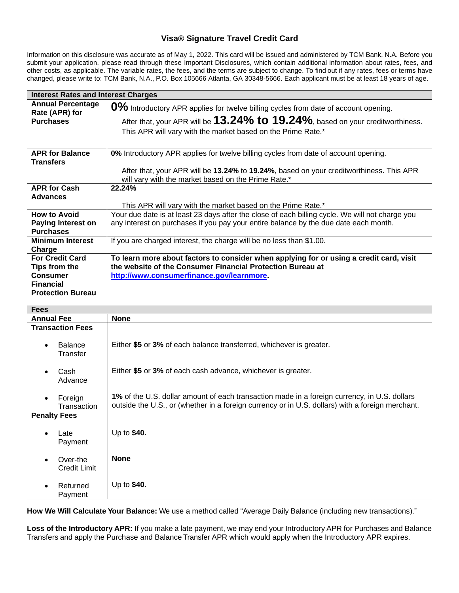# **Visa® Signature Travel Credit Card**

Information on this disclosure was accurate as of May 1, 2022. This card will be issued and administered by TCM Bank, N.A. Before you submit your application, please read through these Important Disclosures, which contain additional information about rates, fees, and other costs, as applicable. The variable rates, the fees, and the terms are subject to change. To find out if any rates, fees or terms have changed, please write to: TCM Bank, N.A., P.O. Box 105666 Atlanta, GA 30348-5666. Each applicant must be at least 18 years of age.

| <b>Interest Rates and Interest Charges</b>                                                                 |                                                                                                                                                                                                                                              |
|------------------------------------------------------------------------------------------------------------|----------------------------------------------------------------------------------------------------------------------------------------------------------------------------------------------------------------------------------------------|
| <b>Annual Percentage</b><br>Rate (APR) for<br><b>Purchases</b>                                             | 0% Introductory APR applies for twelve billing cycles from date of account opening.<br>After that, your APR will be $13.24\%$ to $19.24\%$ , based on your creditworthiness.<br>This APR will vary with the market based on the Prime Rate.* |
| <b>APR for Balance</b><br><b>Transfers</b>                                                                 | 0% Introductory APR applies for twelve billing cycles from date of account opening.<br>After that, your APR will be 13.24% to 19.24%, based on your creditworthiness. This APR<br>will vary with the market based on the Prime Rate.*        |
| <b>APR for Cash</b><br><b>Advances</b>                                                                     | 22.24%<br>This APR will vary with the market based on the Prime Rate.*                                                                                                                                                                       |
| <b>How to Avoid</b><br><b>Paying Interest on</b><br><b>Purchases</b>                                       | Your due date is at least 23 days after the close of each billing cycle. We will not charge you<br>any interest on purchases if you pay your entire balance by the due date each month.                                                      |
| <b>Minimum Interest</b><br>Charge                                                                          | If you are charged interest, the charge will be no less than \$1.00.                                                                                                                                                                         |
| <b>For Credit Card</b><br>Tips from the<br><b>Consumer</b><br><b>Financial</b><br><b>Protection Bureau</b> | To learn more about factors to consider when applying for or using a credit card, visit<br>the website of the Consumer Financial Protection Bureau at<br>http://www.consumerfinance.gov/learnmore.                                           |

| <b>Fees</b>                             |                                                                                                                                                                                                  |
|-----------------------------------------|--------------------------------------------------------------------------------------------------------------------------------------------------------------------------------------------------|
| <b>Annual Fee</b>                       | <b>None</b>                                                                                                                                                                                      |
| <b>Transaction Fees</b>                 |                                                                                                                                                                                                  |
| <b>Balance</b><br>$\bullet$<br>Transfer | Either \$5 or 3% of each balance transferred, whichever is greater.                                                                                                                              |
| Cash<br>$\bullet$<br>Advance            | Either \$5 or 3% of each cash advance, whichever is greater.                                                                                                                                     |
| Foreign<br>$\bullet$<br>Transaction     | 1% of the U.S. dollar amount of each transaction made in a foreign currency, in U.S. dollars<br>outside the U.S., or (whether in a foreign currency or in U.S. dollars) with a foreign merchant. |
| <b>Penalty Fees</b>                     |                                                                                                                                                                                                  |
| Late<br>$\bullet$<br>Payment            | Up to \$40.                                                                                                                                                                                      |
| Over-the<br><b>Credit Limit</b>         | <b>None</b>                                                                                                                                                                                      |
| Returned<br>Payment                     | Up to \$40.                                                                                                                                                                                      |

**How We Will Calculate Your Balance:** We use a method called "Average Daily Balance (including new transactions)."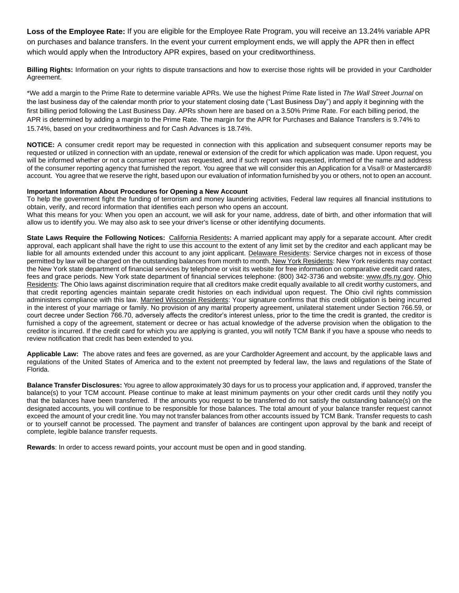**Loss of the Employee Rate:** If you are eligible for the Employee Rate Program, you will receive an 13.24% variable APR on purchases and balance transfers. In the event your current employment ends, we will apply the APR then in effect which would apply when the Introductory APR expires, based on your creditworthiness.

**Billing Rights:** Information on your rights to dispute transactions and how to exercise those rights will be provided in your Cardholder Agreement.

\*We add a margin to the Prime Rate to determine variable APRs. We use the highest Prime Rate listed in *The Wall Street Journal* on the last business day of the calendar month prior to your statement closing date ("Last Business Day") and apply it beginning with the first billing period following the Last Business Day. APRs shown here are based on a 3.50% Prime Rate. For each billing period, the APR is determined by adding a margin to the Prime Rate. The margin for the APR for Purchases and Balance Transfers is 9.74% to 15.74%, based on your creditworthiness and for Cash Advances is 18.74%.

**NOTICE:** A consumer credit report may be requested in connection with this application and subsequent consumer reports may be requested or utilized in connection with an update, renewal or extension of the credit for which application was made. Upon request, you will be informed whether or not a consumer report was requested, and if such report was requested, informed of the name and address of the consumer reporting agency that furnished the report. You agree that we will consider this an Application for a Visa® or Mastercard® account. You agree that we reserve the right, based upon our evaluation of information furnished by you or others, not to open an account.

#### **Important Information About Procedures for Opening a New Account**

To help the government fight the funding of terrorism and money laundering activities, Federal law requires all financial institutions to obtain, verify, and record information that identifies each person who opens an account.

What this means for you: When you open an account, we will ask for your name, address, date of birth, and other information that will allow us to identify you. We may also ask to see your driver's license or other identifying documents.

**State Laws Require the Following Notices:** California Residents**:** A married applicant may apply for a separate account. After credit approval, each applicant shall have the right to use this account to the extent of any limit set by the creditor and each applicant may be liable for all amounts extended under this account to any joint applicant. Delaware Residents: Service charges not in excess of those permitted by law will be charged on the outstanding balances from month to month. New York Residents: New York residents may contact the New York state department of financial services by telephone or visit its website for free information on comparative credit card rates, fees and grace periods. New York state department of financial services telephone: (800) 342-3736 and website: [www.dfs.ny.gov.](http://www.dfs.ny.gov/) Ohio Residents: The Ohio laws against discrimination require that all creditors make credit equally available to all credit worthy customers, and that credit reporting agencies maintain separate credit histories on each individual upon request. The Ohio civil rights commission administers compliance with this law. Married Wisconsin Residents: Your signature confirms that this credit obligation is being incurred in the interest of your marriage or family. No provision of any marital property agreement, unilateral statement under Section 766.59, or court decree under Section 766.70, adversely affects the creditor's interest unless, prior to the time the credit is granted, the creditor is furnished a copy of the agreement, statement or decree or has actual knowledge of the adverse provision when the obligation to the creditor is incurred. If the credit card for which you are applying is granted, you will notify TCM Bank if you have a spouse who needs to review notification that credit has been extended to you.

**Applicable Law:** The above rates and fees are governed, as are your Cardholder Agreement and account, by the applicable laws and regulations of the United States of America and to the extent not preempted by federal law, the laws and regulations of the State of Florida.

**Balance Transfer Disclosures:** You agree to allow approximately 30 days for us to process your application and, if approved, transfer the balance(s) to your TCM account. Please continue to make at least minimum payments on your other credit cards until they notify you that the balances have been transferred. If the amounts you request to be transferred do not satisfy the outstanding balance(s) on the designated accounts, you will continue to be responsible for those balances. The total amount of your balance transfer request cannot exceed the amount of your credit line. You may not transfer balances from other accounts issued by TCM Bank. Transfer requests to cash or to yourself cannot be processed. The payment and transfer of balances are contingent upon approval by the bank and receipt of complete, legible balance transfer requests.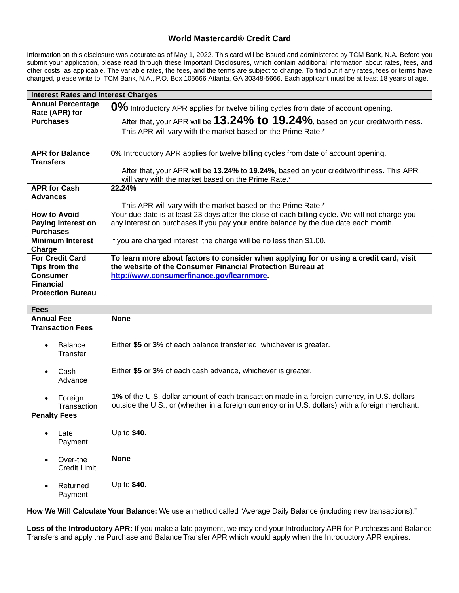# **World Mastercard® Credit Card**

Information on this disclosure was accurate as of May 1, 2022. This card will be issued and administered by TCM Bank, N.A. Before you submit your application, please read through these Important Disclosures, which contain additional information about rates, fees, and other costs, as applicable. The variable rates, the fees, and the terms are subject to change. To find out if any rates, fees or terms have changed, please write to: TCM Bank, N.A., P.O. Box 105666 Atlanta, GA 30348-5666. Each applicant must be at least 18 years of age.

| <b>Interest Rates and Interest Charges</b>                           |                                                                                                                                                                                                                                              |
|----------------------------------------------------------------------|----------------------------------------------------------------------------------------------------------------------------------------------------------------------------------------------------------------------------------------------|
| <b>Annual Percentage</b><br>Rate (APR) for<br><b>Purchases</b>       | 0% Introductory APR applies for twelve billing cycles from date of account opening.<br>After that, your APR will be $13.24\%$ to $19.24\%$ , based on your creditworthiness.<br>This APR will vary with the market based on the Prime Rate.* |
| <b>APR for Balance</b>                                               | 0% Introductory APR applies for twelve billing cycles from date of account opening.                                                                                                                                                          |
| <b>Transfers</b>                                                     | After that, your APR will be 13.24% to 19.24%, based on your creditworthiness. This APR<br>will vary with the market based on the Prime Rate.*                                                                                               |
| <b>APR for Cash</b>                                                  | 22.24%                                                                                                                                                                                                                                       |
| <b>Advances</b>                                                      | This APR will vary with the market based on the Prime Rate.*                                                                                                                                                                                 |
| <b>How to Avoid</b><br><b>Paying Interest on</b><br><b>Purchases</b> | Your due date is at least 23 days after the close of each billing cycle. We will not charge you<br>any interest on purchases if you pay your entire balance by the due date each month.                                                      |
| <b>Minimum Interest</b><br>Charge                                    | If you are charged interest, the charge will be no less than \$1.00.                                                                                                                                                                         |
| <b>For Credit Card</b>                                               | To learn more about factors to consider when applying for or using a credit card, visit                                                                                                                                                      |
| Tips from the                                                        | the website of the Consumer Financial Protection Bureau at                                                                                                                                                                                   |
| <b>Consumer</b><br><b>Financial</b>                                  | http://www.consumerfinance.gov/learnmore.                                                                                                                                                                                                    |
| <b>Protection Bureau</b>                                             |                                                                                                                                                                                                                                              |

| <b>Fees</b>                             |                                                                                                                                                                                                  |
|-----------------------------------------|--------------------------------------------------------------------------------------------------------------------------------------------------------------------------------------------------|
| <b>Annual Fee</b>                       | <b>None</b>                                                                                                                                                                                      |
| <b>Transaction Fees</b>                 |                                                                                                                                                                                                  |
| <b>Balance</b><br>$\bullet$<br>Transfer | Either \$5 or 3% of each balance transferred, whichever is greater.                                                                                                                              |
| Cash<br>$\bullet$<br>Advance            | Either \$5 or 3% of each cash advance, whichever is greater.                                                                                                                                     |
| Foreign<br>$\bullet$<br>Transaction     | 1% of the U.S. dollar amount of each transaction made in a foreign currency, in U.S. dollars<br>outside the U.S., or (whether in a foreign currency or in U.S. dollars) with a foreign merchant. |
| <b>Penalty Fees</b>                     |                                                                                                                                                                                                  |
| Late<br>$\bullet$<br>Payment            | Up to \$40.                                                                                                                                                                                      |
| Over-the<br><b>Credit Limit</b>         | <b>None</b>                                                                                                                                                                                      |
| Returned<br>$\bullet$<br>Payment        | Up to \$40.                                                                                                                                                                                      |

**How We Will Calculate Your Balance:** We use a method called "Average Daily Balance (including new transactions)."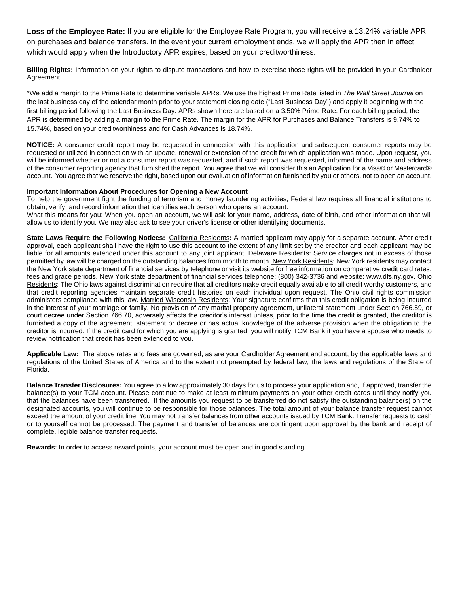**Loss of the Employee Rate:** If you are eligible for the Employee Rate Program, you will receive a 13.24% variable APR on purchases and balance transfers. In the event your current employment ends, we will apply the APR then in effect which would apply when the Introductory APR expires, based on your creditworthiness.

**Billing Rights:** Information on your rights to dispute transactions and how to exercise those rights will be provided in your Cardholder Agreement.

\*We add a margin to the Prime Rate to determine variable APRs. We use the highest Prime Rate listed in *The Wall Street Journal* on the last business day of the calendar month prior to your statement closing date ("Last Business Day") and apply it beginning with the first billing period following the Last Business Day. APRs shown here are based on a 3.50% Prime Rate. For each billing period, the APR is determined by adding a margin to the Prime Rate. The margin for the APR for Purchases and Balance Transfers is 9.74% to 15.74%, based on your creditworthiness and for Cash Advances is 18.74%.

**NOTICE:** A consumer credit report may be requested in connection with this application and subsequent consumer reports may be requested or utilized in connection with an update, renewal or extension of the credit for which application was made. Upon request, you will be informed whether or not a consumer report was requested, and if such report was requested, informed of the name and address of the consumer reporting agency that furnished the report. You agree that we will consider this an Application for a Visa® or Mastercard® account. You agree that we reserve the right, based upon our evaluation of information furnished by you or others, not to open an account.

#### **Important Information About Procedures for Opening a New Account**

To help the government fight the funding of terrorism and money laundering activities, Federal law requires all financial institutions to obtain, verify, and record information that identifies each person who opens an account.

What this means for you: When you open an account, we will ask for your name, address, date of birth, and other information that will allow us to identify you. We may also ask to see your driver's license or other identifying documents.

**State Laws Require the Following Notices:** California Residents**:** A married applicant may apply for a separate account. After credit approval, each applicant shall have the right to use this account to the extent of any limit set by the creditor and each applicant may be liable for all amounts extended under this account to any joint applicant. Delaware Residents: Service charges not in excess of those permitted by law will be charged on the outstanding balances from month to month. New York Residents: New York residents may contact the New York state department of financial services by telephone or visit its website for free information on comparative credit card rates, fees and grace periods. New York state department of financial services telephone: (800) 342-3736 and website: [www.dfs.ny.gov.](http://www.dfs.ny.gov/) Ohio Residents: The Ohio laws against discrimination require that all creditors make credit equally available to all credit worthy customers, and that credit reporting agencies maintain separate credit histories on each individual upon request. The Ohio civil rights commission administers compliance with this law. Married Wisconsin Residents: Your signature confirms that this credit obligation is being incurred in the interest of your marriage or family. No provision of any marital property agreement, unilateral statement under Section 766.59, or court decree under Section 766.70, adversely affects the creditor's interest unless, prior to the time the credit is granted, the creditor is furnished a copy of the agreement, statement or decree or has actual knowledge of the adverse provision when the obligation to the creditor is incurred. If the credit card for which you are applying is granted, you will notify TCM Bank if you have a spouse who needs to review notification that credit has been extended to you.

**Applicable Law:** The above rates and fees are governed, as are your Cardholder Agreement and account, by the applicable laws and regulations of the United States of America and to the extent not preempted by federal law, the laws and regulations of the State of Florida.

**Balance Transfer Disclosures:** You agree to allow approximately 30 days for us to process your application and, if approved, transfer the balance(s) to your TCM account. Please continue to make at least minimum payments on your other credit cards until they notify you that the balances have been transferred. If the amounts you request to be transferred do not satisfy the outstanding balance(s) on the designated accounts, you will continue to be responsible for those balances. The total amount of your balance transfer request cannot exceed the amount of your credit line. You may not transfer balances from other accounts issued by TCM Bank. Transfer requests to cash or to yourself cannot be processed. The payment and transfer of balances are contingent upon approval by the bank and receipt of complete, legible balance transfer requests.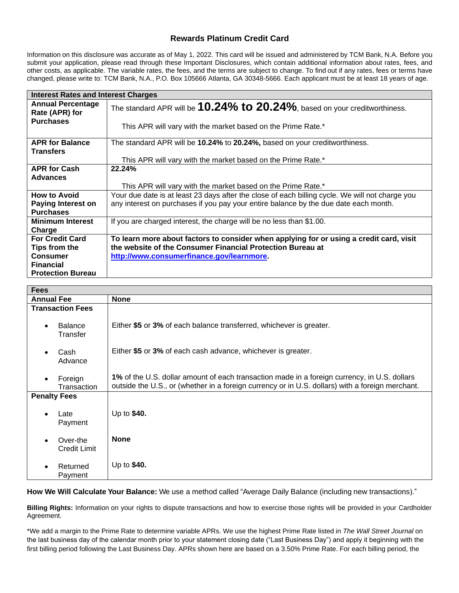## **Rewards Platinum Credit Card**

Information on this disclosure was accurate as of May 1, 2022. This card will be issued and administered by TCM Bank, N.A. Before you submit your application, please read through these Important Disclosures, which contain additional information about rates, fees, and other costs, as applicable. The variable rates, the fees, and the terms are subject to change. To find out if any rates, fees or terms have changed, please write to: TCM Bank, N.A., P.O. Box 105666 Atlanta, GA 30348-5666. Each applicant must be at least 18 years of age.

| <b>Interest Rates and Interest Charges</b> |                                                                                                 |  |
|--------------------------------------------|-------------------------------------------------------------------------------------------------|--|
| <b>Annual Percentage</b><br>Rate (APR) for | The standard APR will be $10.24\%$ to $20.24\%$ , based on your creditworthiness.               |  |
| <b>Purchases</b>                           | This APR will vary with the market based on the Prime Rate.*                                    |  |
| <b>APR for Balance</b>                     | The standard APR will be 10.24% to 20.24%, based on your creditworthiness.                      |  |
| <b>Transfers</b>                           |                                                                                                 |  |
|                                            | This APR will vary with the market based on the Prime Rate.*                                    |  |
| <b>APR for Cash</b>                        | 22.24%                                                                                          |  |
| <b>Advances</b>                            |                                                                                                 |  |
|                                            | This APR will vary with the market based on the Prime Rate.*                                    |  |
| <b>How to Avoid</b>                        | Your due date is at least 23 days after the close of each billing cycle. We will not charge you |  |
| <b>Paying Interest on</b>                  | any interest on purchases if you pay your entire balance by the due date each month.            |  |
| <b>Purchases</b>                           |                                                                                                 |  |
| <b>Minimum Interest</b>                    | If you are charged interest, the charge will be no less than \$1.00.                            |  |
| Charge                                     |                                                                                                 |  |
| <b>For Credit Card</b>                     | To learn more about factors to consider when applying for or using a credit card, visit         |  |
| Tips from the                              | the website of the Consumer Financial Protection Bureau at                                      |  |
| <b>Consumer</b>                            | http://www.consumerfinance.gov/learnmore.                                                       |  |
| <b>Financial</b>                           |                                                                                                 |  |
| <b>Protection Bureau</b>                   |                                                                                                 |  |

| <b>Fees</b>                                  |                                                                                                                                                                                                  |  |
|----------------------------------------------|--------------------------------------------------------------------------------------------------------------------------------------------------------------------------------------------------|--|
| <b>Annual Fee</b>                            | <b>None</b>                                                                                                                                                                                      |  |
| <b>Transaction Fees</b>                      |                                                                                                                                                                                                  |  |
| <b>Balance</b><br>$\bullet$<br>Transfer      | Either \$5 or 3% of each balance transferred, whichever is greater.                                                                                                                              |  |
| Cash<br>$\bullet$<br>Advance                 | Either \$5 or 3% of each cash advance, whichever is greater.                                                                                                                                     |  |
| Foreign<br>$\bullet$<br>Transaction          | 1% of the U.S. dollar amount of each transaction made in a foreign currency, in U.S. dollars<br>outside the U.S., or (whether in a foreign currency or in U.S. dollars) with a foreign merchant. |  |
| <b>Penalty Fees</b>                          |                                                                                                                                                                                                  |  |
| Late<br>$\bullet$<br>Payment                 | Up to \$40.                                                                                                                                                                                      |  |
| Over-the<br>$\bullet$<br><b>Credit Limit</b> | <b>None</b>                                                                                                                                                                                      |  |
| Returned<br>$\bullet$<br>Payment             | Up to \$40.                                                                                                                                                                                      |  |

**How We Will Calculate Your Balance:** We use a method called "Average Daily Balance (including new transactions)."

**Billing Rights:** Information on your rights to dispute transactions and how to exercise those rights will be provided in your Cardholder Agreement.

\*We add a margin to the Prime Rate to determine variable APRs. We use the highest Prime Rate listed in *The Wall Street Journal* on the last business day of the calendar month prior to your statement closing date ("Last Business Day") and apply it beginning with the first billing period following the Last Business Day. APRs shown here are based on a 3.50% Prime Rate. For each billing period, the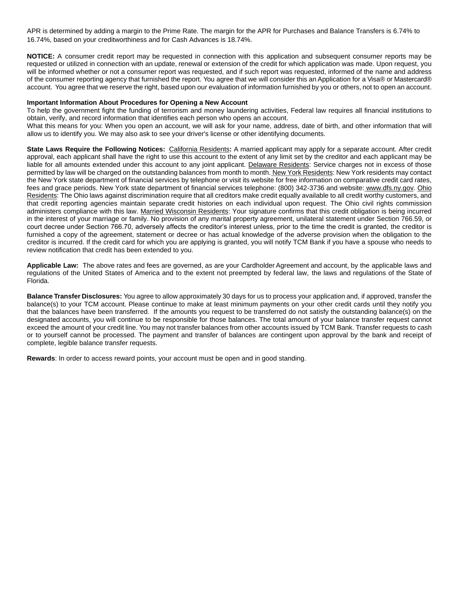APR is determined by adding a margin to the Prime Rate. The margin for the APR for Purchases and Balance Transfers is 6.74% to 16.74%, based on your creditworthiness and for Cash Advances is 18.74%.

**NOTICE:** A consumer credit report may be requested in connection with this application and subsequent consumer reports may be requested or utilized in connection with an update, renewal or extension of the credit for which application was made. Upon request, you will be informed whether or not a consumer report was requested, and if such report was requested, informed of the name and address of the consumer reporting agency that furnished the report. You agree that we will consider this an Application for a Visa® or Mastercard® account. You agree that we reserve the right, based upon our evaluation of information furnished by you or others, not to open an account.

### **Important Information About Procedures for Opening a New Account**

To help the government fight the funding of terrorism and money laundering activities, Federal law requires all financial institutions to obtain, verify, and record information that identifies each person who opens an account. What this means for you: When you open an account, we will ask for your name, address, date of birth, and other information that will allow us to identify you. We may also ask to see your driver's license or other identifying documents.

**State Laws Require the Following Notices:** California Residents**:** A married applicant may apply for a separate account. After credit approval, each applicant shall have the right to use this account to the extent of any limit set by the creditor and each applicant may be liable for all amounts extended under this account to any joint applicant. Delaware Residents: Service charges not in excess of those permitted by law will be charged on the outstanding balances from month to month. New York Residents: New York residents may contact the New York state department of financial services by telephone or visit its website for free information on comparative credit card rates, fees and grace periods. New York state department of financial services telephone: (800) 342-3736 and website: [www.dfs.ny.gov.](http://www.dfs.ny.gov/) Ohio Residents: The Ohio laws against discrimination require that all creditors make credit equally available to all credit worthy customers, and that credit reporting agencies maintain separate credit histories on each individual upon request. The Ohio civil rights commission administers compliance with this law. Married Wisconsin Residents: Your signature confirms that this credit obligation is being incurred in the interest of your marriage or family. No provision of any marital property agreement, unilateral statement under Section 766.59, or court decree under Section 766.70, adversely affects the creditor's interest unless, prior to the time the credit is granted, the creditor is furnished a copy of the agreement, statement or decree or has actual knowledge of the adverse provision when the obligation to the creditor is incurred. If the credit card for which you are applying is granted, you will notify TCM Bank if you have a spouse who needs to review notification that credit has been extended to you.

**Applicable Law:** The above rates and fees are governed, as are your Cardholder Agreement and account, by the applicable laws and regulations of the United States of America and to the extent not preempted by federal law, the laws and regulations of the State of Florida.

**Balance Transfer Disclosures:** You agree to allow approximately 30 days for us to process your application and, if approved, transfer the balance(s) to your TCM account. Please continue to make at least minimum payments on your other credit cards until they notify you that the balances have been transferred. If the amounts you request to be transferred do not satisfy the outstanding balance(s) on the designated accounts, you will continue to be responsible for those balances. The total amount of your balance transfer request cannot exceed the amount of your credit line. You may not transfer balances from other accounts issued by TCM Bank. Transfer requests to cash or to yourself cannot be processed. The payment and transfer of balances are contingent upon approval by the bank and receipt of complete, legible balance transfer requests.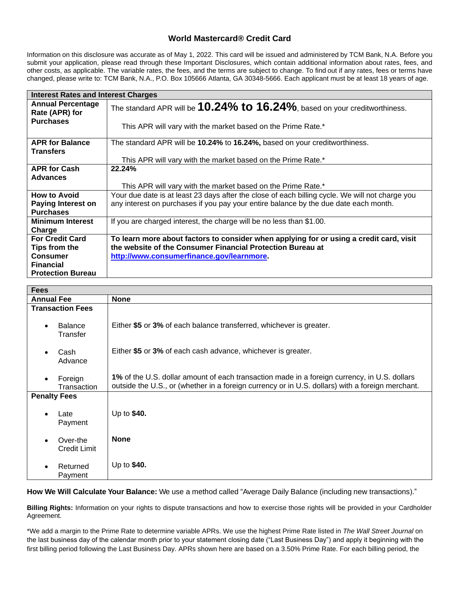### **World Mastercard® Credit Card**

Information on this disclosure was accurate as of May 1, 2022. This card will be issued and administered by TCM Bank, N.A. Before you submit your application, please read through these Important Disclosures, which contain additional information about rates, fees, and other costs, as applicable. The variable rates, the fees, and the terms are subject to change. To find out if any rates, fees or terms have changed, please write to: TCM Bank, N.A., P.O. Box 105666 Atlanta, GA 30348-5666. Each applicant must be at least 18 years of age.

| <b>Interest Rates and Interest Charges</b> |                                                                                                 |  |
|--------------------------------------------|-------------------------------------------------------------------------------------------------|--|
| <b>Annual Percentage</b><br>Rate (APR) for | The standard APR will be $10.24\%$ to $16.24\%$ , based on your creditworthiness.               |  |
| <b>Purchases</b>                           | This APR will vary with the market based on the Prime Rate.*                                    |  |
| <b>APR for Balance</b>                     | The standard APR will be 10.24% to 16.24%, based on your creditworthiness.                      |  |
| <b>Transfers</b>                           |                                                                                                 |  |
|                                            | This APR will vary with the market based on the Prime Rate.*                                    |  |
| <b>APR for Cash</b>                        | 22.24%                                                                                          |  |
| <b>Advances</b>                            |                                                                                                 |  |
|                                            | This APR will vary with the market based on the Prime Rate.*                                    |  |
| <b>How to Avoid</b>                        | Your due date is at least 23 days after the close of each billing cycle. We will not charge you |  |
| <b>Paying Interest on</b>                  | any interest on purchases if you pay your entire balance by the due date each month.            |  |
| <b>Purchases</b>                           |                                                                                                 |  |
| <b>Minimum Interest</b>                    | If you are charged interest, the charge will be no less than \$1.00.                            |  |
| Charge                                     |                                                                                                 |  |
| <b>For Credit Card</b>                     | To learn more about factors to consider when applying for or using a credit card, visit         |  |
| Tips from the                              | the website of the Consumer Financial Protection Bureau at                                      |  |
| <b>Consumer</b>                            | http://www.consumerfinance.gov/learnmore.                                                       |  |
| <b>Financial</b>                           |                                                                                                 |  |
| <b>Protection Bureau</b>                   |                                                                                                 |  |

| <b>Fees</b>                                  |                                                                                                                                                                                                  |  |
|----------------------------------------------|--------------------------------------------------------------------------------------------------------------------------------------------------------------------------------------------------|--|
| <b>Annual Fee</b>                            | <b>None</b>                                                                                                                                                                                      |  |
| <b>Transaction Fees</b>                      |                                                                                                                                                                                                  |  |
| <b>Balance</b><br>$\bullet$<br>Transfer      | Either \$5 or 3% of each balance transferred, whichever is greater.                                                                                                                              |  |
| Cash<br>$\bullet$<br>Advance                 | Either \$5 or 3% of each cash advance, whichever is greater.                                                                                                                                     |  |
| Foreign<br>$\bullet$<br>Transaction          | 1% of the U.S. dollar amount of each transaction made in a foreign currency, in U.S. dollars<br>outside the U.S., or (whether in a foreign currency or in U.S. dollars) with a foreign merchant. |  |
| <b>Penalty Fees</b>                          |                                                                                                                                                                                                  |  |
| Late<br>$\bullet$<br>Payment                 | Up to \$40.                                                                                                                                                                                      |  |
| Over-the<br>$\bullet$<br><b>Credit Limit</b> | <b>None</b>                                                                                                                                                                                      |  |
| Returned<br>$\bullet$<br>Payment             | Up to \$40.                                                                                                                                                                                      |  |

**How We Will Calculate Your Balance:** We use a method called "Average Daily Balance (including new transactions)."

**Billing Rights:** Information on your rights to dispute transactions and how to exercise those rights will be provided in your Cardholder Agreement.

\*We add a margin to the Prime Rate to determine variable APRs. We use the highest Prime Rate listed in *The Wall Street Journal* on the last business day of the calendar month prior to your statement closing date ("Last Business Day") and apply it beginning with the first billing period following the Last Business Day. APRs shown here are based on a 3.50% Prime Rate. For each billing period, the